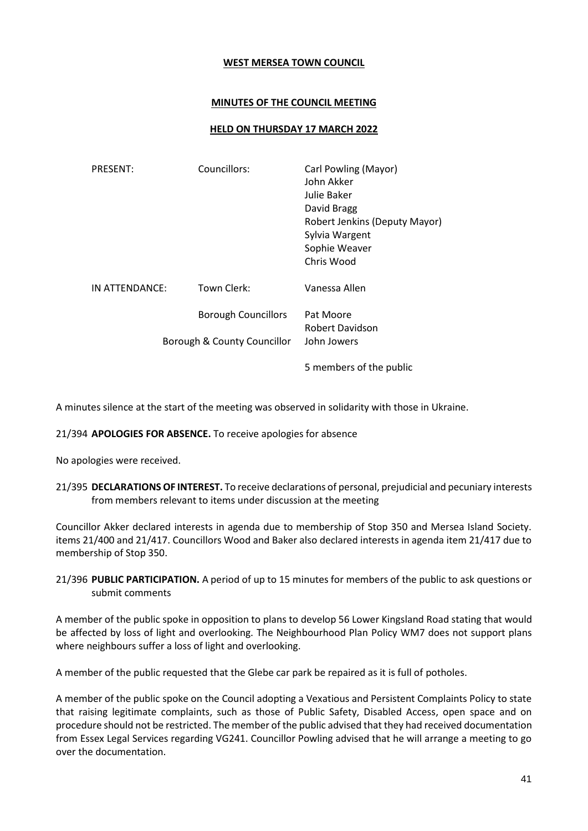## **WEST MERSEA TOWN COUNCIL**

## **MINUTES OF THE COUNCIL MEETING**

## **HELD ON THURSDAY 17 MARCH 2022**

| <b>PRESENT:</b> | Councillors:                                              | Carl Powling (Mayor)<br>John Akker<br>Julie Baker<br>David Bragg<br>Robert Jenkins (Deputy Mayor)<br>Sylvia Wargent<br>Sophie Weaver<br>Chris Wood |
|-----------------|-----------------------------------------------------------|----------------------------------------------------------------------------------------------------------------------------------------------------|
| IN ATTENDANCE:  | Town Clerk:                                               | Vanessa Allen                                                                                                                                      |
|                 | <b>Borough Councillors</b><br>Borough & County Councillor | Pat Moore<br>Robert Davidson<br>John Jowers                                                                                                        |
|                 |                                                           | 5 members of the public                                                                                                                            |

A minutes silence at the start of the meeting was observed in solidarity with those in Ukraine.

## 21/394 **APOLOGIES FOR ABSENCE.** To receive apologies for absence

No apologies were received.

21/395 **DECLARATIONS OF INTEREST.** To receive declarations of personal, prejudicial and pecuniary interests from members relevant to items under discussion at the meeting

Councillor Akker declared interests in agenda due to membership of Stop 350 and Mersea Island Society. items 21/400 and 21/417. Councillors Wood and Baker also declared interests in agenda item 21/417 due to membership of Stop 350.

21/396 **PUBLIC PARTICIPATION.** A period of up to 15 minutes for members of the public to ask questions or submit comments

A member of the public spoke in opposition to plans to develop 56 Lower Kingsland Road stating that would be affected by loss of light and overlooking. The Neighbourhood Plan Policy WM7 does not support plans where neighbours suffer a loss of light and overlooking.

A member of the public requested that the Glebe car park be repaired as it is full of potholes.

A member of the public spoke on the Council adopting a Vexatious and Persistent Complaints Policy to state that raising legitimate complaints, such as those of Public Safety, Disabled Access, open space and on procedure should not be restricted. The member of the public advised that they had received documentation from Essex Legal Services regarding VG241. Councillor Powling advised that he will arrange a meeting to go over the documentation.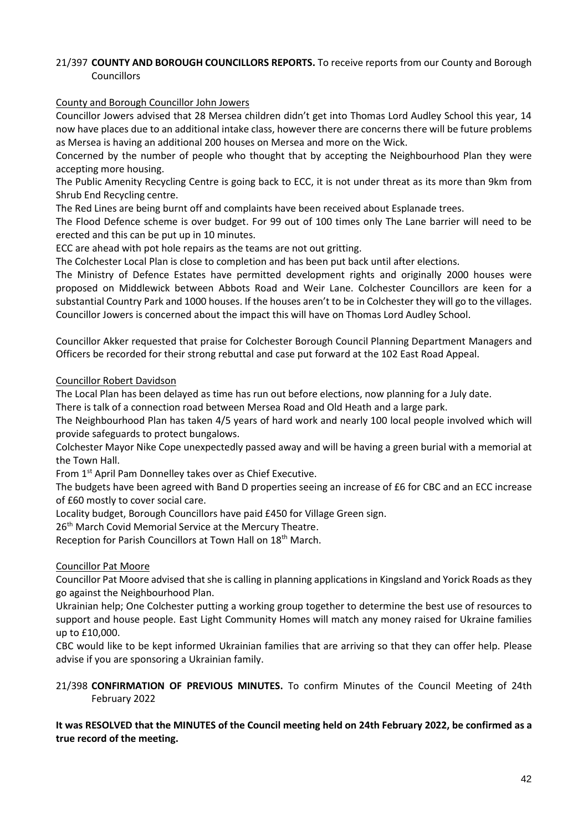# 21/397 **COUNTY AND BOROUGH COUNCILLORS REPORTS.** To receive reports from our County and Borough Councillors

## County and Borough Councillor John Jowers

Councillor Jowers advised that 28 Mersea children didn't get into Thomas Lord Audley School this year, 14 now have places due to an additional intake class, however there are concerns there will be future problems as Mersea is having an additional 200 houses on Mersea and more on the Wick.

Concerned by the number of people who thought that by accepting the Neighbourhood Plan they were accepting more housing.

The Public Amenity Recycling Centre is going back to ECC, it is not under threat as its more than 9km from Shrub End Recycling centre.

The Red Lines are being burnt off and complaints have been received about Esplanade trees.

The Flood Defence scheme is over budget. For 99 out of 100 times only The Lane barrier will need to be erected and this can be put up in 10 minutes.

ECC are ahead with pot hole repairs as the teams are not out gritting.

The Colchester Local Plan is close to completion and has been put back until after elections.

The Ministry of Defence Estates have permitted development rights and originally 2000 houses were proposed on Middlewick between Abbots Road and Weir Lane. Colchester Councillors are keen for a substantial Country Park and 1000 houses. If the houses aren't to be in Colchester they will go to the villages. Councillor Jowers is concerned about the impact this will have on Thomas Lord Audley School.

Councillor Akker requested that praise for Colchester Borough Council Planning Department Managers and Officers be recorded for their strong rebuttal and case put forward at the 102 East Road Appeal.

## Councillor Robert Davidson

The Local Plan has been delayed as time has run out before elections, now planning for a July date.

There is talk of a connection road between Mersea Road and Old Heath and a large park.

The Neighbourhood Plan has taken 4/5 years of hard work and nearly 100 local people involved which will provide safeguards to protect bungalows.

Colchester Mayor Nike Cope unexpectedly passed away and will be having a green burial with a memorial at the Town Hall.

From 1st April Pam Donnelley takes over as Chief Executive.

The budgets have been agreed with Band D properties seeing an increase of £6 for CBC and an ECC increase of £60 mostly to cover social care.

Locality budget, Borough Councillors have paid £450 for Village Green sign.

26<sup>th</sup> March Covid Memorial Service at the Mercury Theatre.

Reception for Parish Councillors at Town Hall on 18th March.

# Councillor Pat Moore

Councillor Pat Moore advised that she is calling in planning applications in Kingsland and Yorick Roads as they go against the Neighbourhood Plan.

Ukrainian help; One Colchester putting a working group together to determine the best use of resources to support and house people. East Light Community Homes will match any money raised for Ukraine families up to £10,000.

CBC would like to be kept informed Ukrainian families that are arriving so that they can offer help. Please advise if you are sponsoring a Ukrainian family.

21/398 **CONFIRMATION OF PREVIOUS MINUTES.** To confirm Minutes of the Council Meeting of 24th February 2022

# **It was RESOLVED that the MINUTES of the Council meeting held on 24th February 2022, be confirmed as a true record of the meeting.**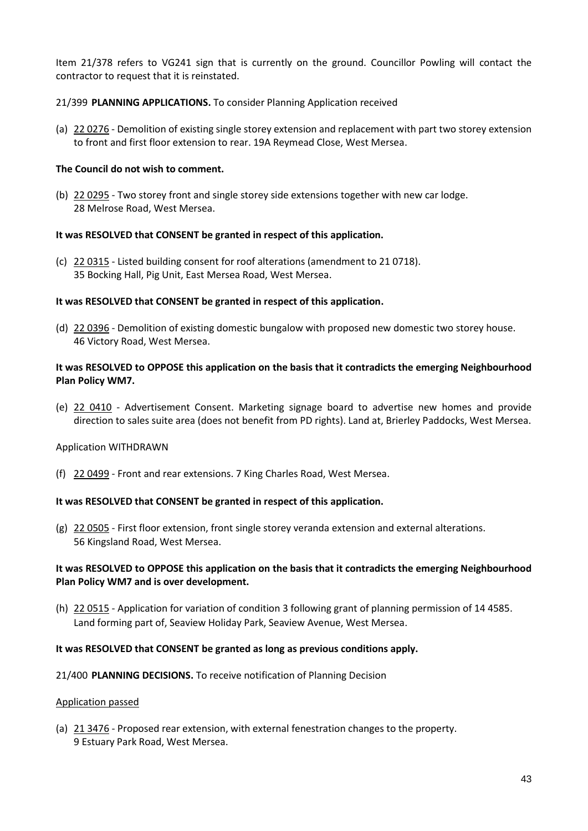Item 21/378 refers to VG241 sign that is currently on the ground. Councillor Powling will contact the contractor to request that it is reinstated.

## 21/399 **PLANNING APPLICATIONS.** To consider Planning Application received

(a) 22 0276 - Demolition of existing single storey extension and replacement with part two storey extension to front and first floor extension to rear. 19A Reymead Close, West Mersea.

## **The Council do not wish to comment.**

(b) 22 0295 - Two storey front and single storey side extensions together with new car lodge. 28 Melrose Road, West Mersea.

## **It was RESOLVED that CONSENT be granted in respect of this application.**

(c) 22 0315 - Listed building consent for roof alterations (amendment to 21 0718). 35 Bocking Hall, Pig Unit, East Mersea Road, West Mersea.

## **It was RESOLVED that CONSENT be granted in respect of this application.**

(d) 22 0396 - Demolition of existing domestic bungalow with proposed new domestic two storey house. 46 Victory Road, West Mersea.

## **It was RESOLVED to OPPOSE this application on the basis that it contradicts the emerging Neighbourhood Plan Policy WM7.**

(e) 22 0410 - Advertisement Consent. Marketing signage board to advertise new homes and provide direction to sales suite area (does not benefit from PD rights). Land at, Brierley Paddocks, West Mersea.

## Application WITHDRAWN

(f) 22 0499 - Front and rear extensions. 7 King Charles Road, West Mersea.

## **It was RESOLVED that CONSENT be granted in respect of this application.**

(g) 22 0505 - First floor extension, front single storey veranda extension and external alterations. 56 Kingsland Road, West Mersea.

## **It was RESOLVED to OPPOSE this application on the basis that it contradicts the emerging Neighbourhood Plan Policy WM7 and is over development.**

(h) 22 0515 - Application for variation of condition 3 following grant of planning permission of 14 4585. Land forming part of, Seaview Holiday Park, Seaview Avenue, West Mersea.

## **It was RESOLVED that CONSENT be granted as long as previous conditions apply.**

21/400 **PLANNING DECISIONS.** To receive notification of Planning Decision

## Application passed

(a) 21 3476 - Proposed rear extension, with external fenestration changes to the property. 9 Estuary Park Road, West Mersea.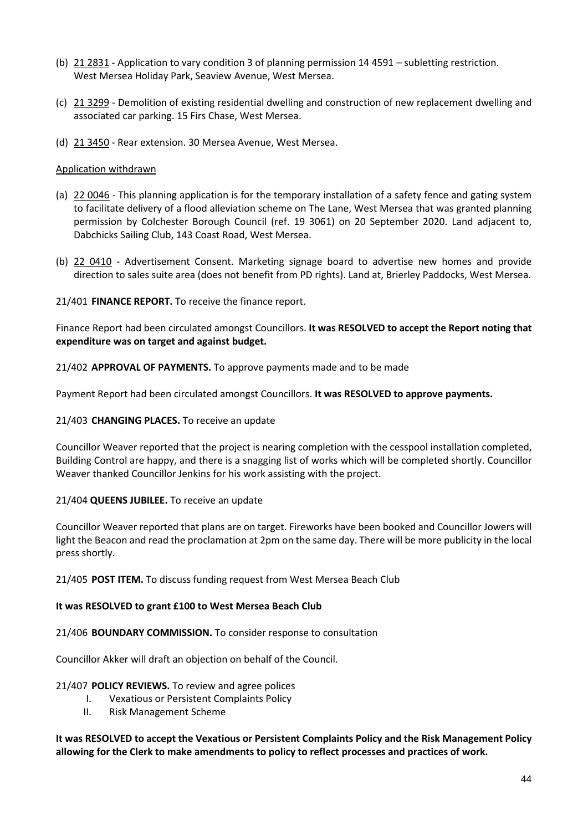- (b) 21 2831 Application to vary condition 3 of planning permission 14 4591 subletting restriction. West Mersea Holiday Park, Seaview Avenue, West Mersea.
- (c) 21 3299 Demolition of existing residential dwelling and construction of new replacement dwelling and associated car parking. 15 Firs Chase, West Mersea.
- (d) 21 3450 Rear extension. 30 Mersea Avenue, West Mersea.

## Application withdrawn

- (a) 22 0046 This planning application is for the temporary installation of a safety fence and gating system to facilitate delivery of a flood alleviation scheme on The Lane, West Mersea that was granted planning permission by Colchester Borough Council (ref. 19 3061) on 20 September 2020. Land adjacent to, Dabchicks Sailing Club, 143 Coast Road, West Mersea.
- (b) 22 0410 Advertisement Consent. Marketing signage board to advertise new homes and provide direction to sales suite area (does not benefit from PD rights). Land at, Brierley Paddocks, West Mersea.

21/401 **FINANCE REPORT.** To receive the finance report.

Finance Report had been circulated amongst Councillors. **It was RESOLVED to accept the Report noting that expenditure was on target and against budget.** 

21/402 **APPROVAL OF PAYMENTS.** To approve payments made and to be made

Payment Report had been circulated amongst Councillors. **It was RESOLVED to approve payments.** 

## 21/403 **CHANGING PLACES.** To receive an update

Councillor Weaver reported that the project is nearing completion with the cesspool installation completed, Building Control are happy, and there is a snagging list of works which will be completed shortly. Councillor Weaver thanked Councillor Jenkins for his work assisting with the project.

## 21/404 **QUEENS JUBILEE.** To receive an update

Councillor Weaver reported that plans are on target. Fireworks have been booked and Councillor Jowers will light the Beacon and read the proclamation at 2pm on the same day. There will be more publicity in the local press shortly.

21/405 **POST ITEM.** To discuss funding request from West Mersea Beach Club

## **It was RESOLVED to grant £100 to West Mersea Beach Club**

## 21/406 **BOUNDARY COMMISSION.** To consider response to consultation

Councillor Akker will draft an objection on behalf of the Council.

## 21/407 **POLICY REVIEWS.** To review and agree polices

- I. Vexatious or Persistent Complaints Policy
- II. Risk Management Scheme

**It was RESOLVED to accept the Vexatious or Persistent Complaints Policy and the Risk Management Policy allowing for the Clerk to make amendments to policy to reflect processes and practices of work.**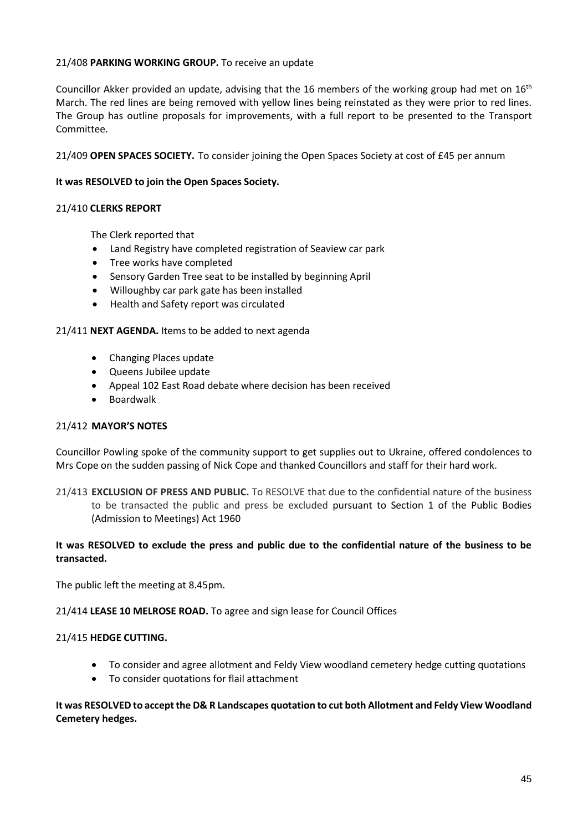# 21/408 **PARKING WORKING GROUP.** To receive an update

Councillor Akker provided an update, advising that the 16 members of the working group had met on  $16<sup>th</sup>$ March. The red lines are being removed with yellow lines being reinstated as they were prior to red lines. The Group has outline proposals for improvements, with a full report to be presented to the Transport Committee.

21/409 **OPEN SPACES SOCIETY.** To consider joining the Open Spaces Society at cost of £45 per annum

## **It was RESOLVED to join the Open Spaces Society.**

## 21/410 **CLERKS REPORT**

The Clerk reported that

- Land Registry have completed registration of Seaview car park
- Tree works have completed
- Sensory Garden Tree seat to be installed by beginning April
- Willoughby car park gate has been installed
- Health and Safety report was circulated

## 21/411 **NEXT AGENDA.** Items to be added to next agenda

- Changing Places update
- Queens Jubilee update
- Appeal 102 East Road debate where decision has been received
- Boardwalk

## 21/412 **MAYOR'S NOTES**

Councillor Powling spoke of the community support to get supplies out to Ukraine, offered condolences to Mrs Cope on the sudden passing of Nick Cope and thanked Councillors and staff for their hard work.

21/413 **EXCLUSION OF PRESS AND PUBLIC.** To RESOLVE that due to the confidential nature of the business to be transacted the public and press be excluded pursuant to Section 1 of the Public Bodies (Admission to Meetings) Act 1960

## **It was RESOLVED to exclude the press and public due to the confidential nature of the business to be transacted.**

The public left the meeting at 8.45pm.

## 21/414 **LEASE 10 MELROSE ROAD.** To agree and sign lease for Council Offices

## 21/415 **HEDGE CUTTING.**

- To consider and agree allotment and Feldy View woodland cemetery hedge cutting quotations
- To consider quotations for flail attachment

## **It was RESOLVED to accept the D& R Landscapes quotation to cut both Allotment and Feldy View Woodland Cemetery hedges.**